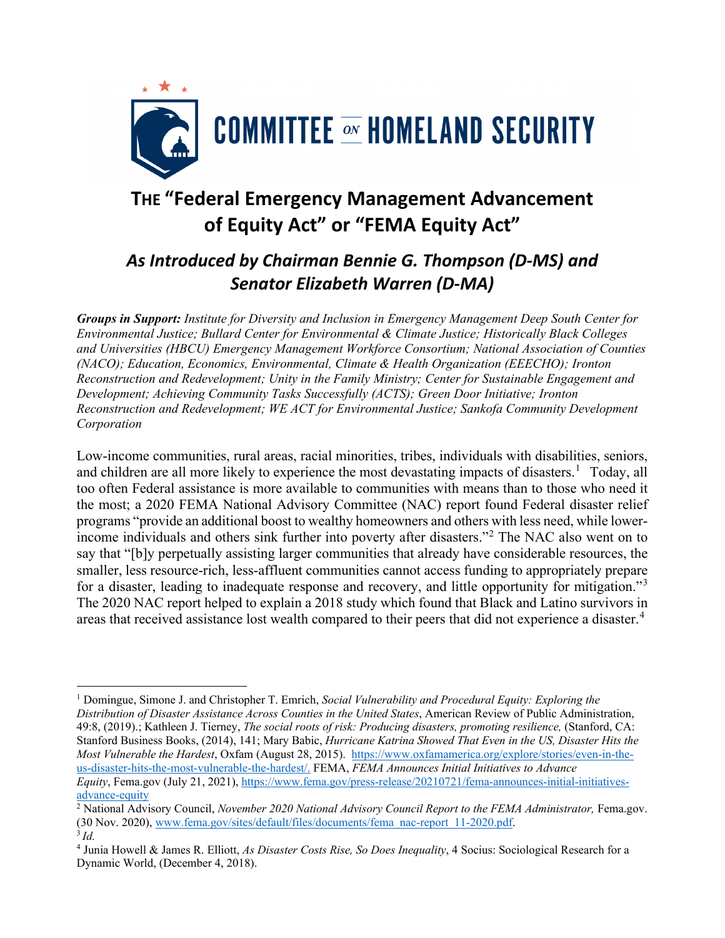

## **THE "Federal Emergency Management Advancement of Equity Act" or "FEMA Equity Act"**

## *As Introduced by Chairman Bennie G. Thompson (D-MS) and Senator Elizabeth Warren (D-MA)*

*Groups in Support: Institute for Diversity and Inclusion in Emergency Management Deep South Center for Environmental Justice; Bullard Center for Environmental & Climate Justice; Historically Black Colleges and Universities (HBCU) Emergency Management Workforce Consortium; National Association of Counties (NACO); Education, Economics, Environmental, Climate & Health Organization (EEECHO); Ironton Reconstruction and Redevelopment; Unity in the Family Ministry; Center for Sustainable Engagement and Development; Achieving Community Tasks Successfully (ACTS); Green Door Initiative; Ironton Reconstruction and Redevelopment; WE ACT for Environmental Justice; Sankofa Community Development Corporation*

Low-income communities, rural areas, racial minorities, tribes, individuals with disabilities, seniors, and children are all more likely to experience the most devastating impacts of disasters.<sup>[1](#page-0-0)</sup> Today, all too often Federal assistance is more available to communities with means than to those who need it the most; a 2020 FEMA National Advisory Committee (NAC) report found Federal disaster relief programs "provide an additional boost to wealthy homeowners and others with less need, while lowerincome individuals and others sink further into poverty after disasters."[2](#page-0-1) The NAC also went on to say that "[b]y perpetually assisting larger communities that already have considerable resources, the smaller, less resource-rich, less-affluent communities cannot access funding to appropriately prepare for a disaster, leading to inadequate response and recovery, and little opportunity for mitigation."<sup>[3](#page-0-2)</sup> The 2020 NAC report helped to explain a 2018 study which found that Black and Latino survivors in areas that received assistance lost wealth compared to their peers that did not experience a disaster.<sup>[4](#page-0-3)</sup>

<span id="page-0-0"></span><sup>1</sup> Domingue, Simone J. and Christopher T. Emrich, *Social Vulnerability and Procedural Equity: Exploring the Distribution of Disaster Assistance Across Counties in the United States*, American Review of Public Administration, 49:8, (2019).; Kathleen J. Tierney, *The social roots of risk: Producing disasters, promoting resilience,* (Stanford, CA: Stanford Business Books, (2014), 141; Mary Babic, *Hurricane Katrina Showed That Even in the US, Disaster Hits the Most Vulnerable the Hardest*, Oxfam (August 28, 2015). [https://www.oxfamamerica.org/explore/stories/even-in-the](https://www.oxfamamerica.org/explore/stories/even-in-the-us-disaster-hits-the-most-vulnerable-the-hardest/)[us-disaster-hits-the-most-vulnerable-the-hardest/.](https://www.oxfamamerica.org/explore/stories/even-in-the-us-disaster-hits-the-most-vulnerable-the-hardest/) FEMA, *FEMA Announces Initial Initiatives to Advance Equity*, Fema.gov (July 21, 2021), [https://www.fema.gov/press-release/20210721/fema-announces-initial-initiatives](https://www.fema.gov/press-release/20210721/fema-announces-initial-initiatives-advance-equity)[advance-equity](https://www.fema.gov/press-release/20210721/fema-announces-initial-initiatives-advance-equity)

<span id="page-0-1"></span><sup>&</sup>lt;sup>2</sup> National Advisory Council, *November 2020 National Advisory Council Report to the FEMA Administrator*, Fema.gov. (30 Nov. 2020), [www.fema.gov/sites/default/files/documents/fema\\_nac-report\\_11-2020.pdf.](http://www.fema.gov/sites/default/files/documents/fema_nac-report_11-2020.pdf)

<span id="page-0-2"></span><sup>3</sup> *Id.*

<span id="page-0-3"></span><sup>4</sup> Junia Howell & James R. Elliott, *As Disaster Costs Rise, So Does Inequality*, 4 Socius: Sociological Research for a Dynamic World, (December 4, 2018).